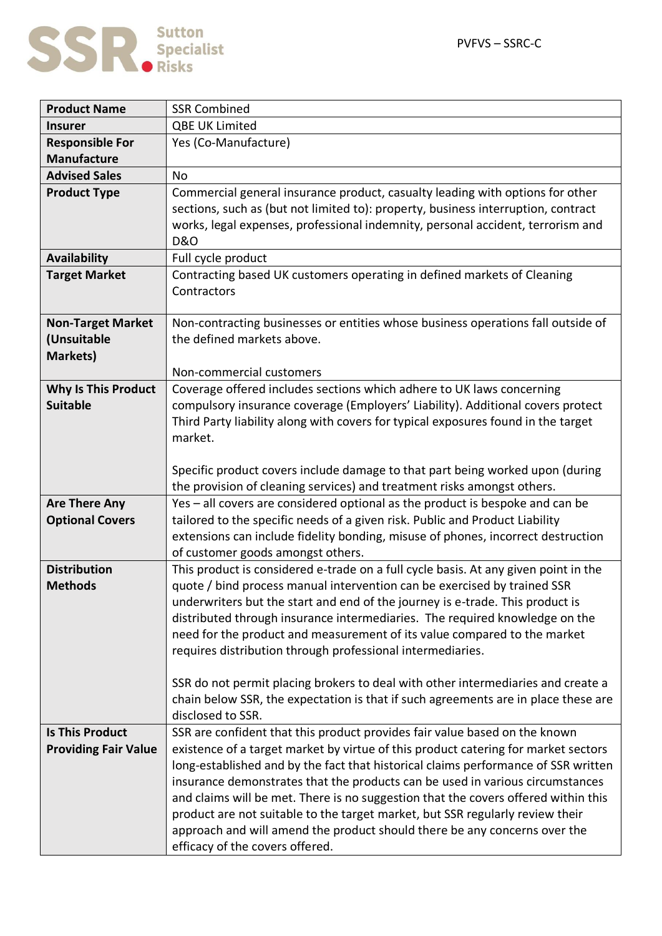

| <b>Product Name</b>                           | <b>SSR Combined</b>                                                                                                                                      |
|-----------------------------------------------|----------------------------------------------------------------------------------------------------------------------------------------------------------|
| <b>Insurer</b>                                | QBE UK Limited                                                                                                                                           |
| <b>Responsible For</b>                        | Yes (Co-Manufacture)                                                                                                                                     |
| <b>Manufacture</b>                            |                                                                                                                                                          |
| <b>Advised Sales</b>                          | <b>No</b>                                                                                                                                                |
| <b>Product Type</b>                           | Commercial general insurance product, casualty leading with options for other                                                                            |
|                                               | sections, such as (but not limited to): property, business interruption, contract                                                                        |
|                                               | works, legal expenses, professional indemnity, personal accident, terrorism and                                                                          |
|                                               | <b>D&amp;O</b>                                                                                                                                           |
| <b>Availability</b>                           | Full cycle product                                                                                                                                       |
| <b>Target Market</b>                          | Contracting based UK customers operating in defined markets of Cleaning                                                                                  |
|                                               | Contractors                                                                                                                                              |
|                                               |                                                                                                                                                          |
| <b>Non-Target Market</b>                      | Non-contracting businesses or entities whose business operations fall outside of                                                                         |
| (Unsuitable                                   | the defined markets above.                                                                                                                               |
| <b>Markets)</b>                               |                                                                                                                                                          |
|                                               | Non-commercial customers                                                                                                                                 |
| <b>Why Is This Product</b><br><b>Suitable</b> | Coverage offered includes sections which adhere to UK laws concerning<br>compulsory insurance coverage (Employers' Liability). Additional covers protect |
|                                               | Third Party liability along with covers for typical exposures found in the target                                                                        |
|                                               | market.                                                                                                                                                  |
|                                               |                                                                                                                                                          |
|                                               | Specific product covers include damage to that part being worked upon (during                                                                            |
|                                               | the provision of cleaning services) and treatment risks amongst others.                                                                                  |
| <b>Are There Any</b>                          | Yes - all covers are considered optional as the product is bespoke and can be                                                                            |
| <b>Optional Covers</b>                        | tailored to the specific needs of a given risk. Public and Product Liability                                                                             |
|                                               | extensions can include fidelity bonding, misuse of phones, incorrect destruction                                                                         |
|                                               | of customer goods amongst others.                                                                                                                        |
| <b>Distribution</b>                           | This product is considered e-trade on a full cycle basis. At any given point in the                                                                      |
| <b>Methods</b>                                | quote / bind process manual intervention can be exercised by trained SSR                                                                                 |
|                                               | underwriters but the start and end of the journey is e-trade. This product is                                                                            |
|                                               | distributed through insurance intermediaries. The required knowledge on the                                                                              |
|                                               | need for the product and measurement of its value compared to the market                                                                                 |
|                                               | requires distribution through professional intermediaries.                                                                                               |
|                                               |                                                                                                                                                          |
|                                               | SSR do not permit placing brokers to deal with other intermediaries and create a                                                                         |
|                                               | chain below SSR, the expectation is that if such agreements are in place these are                                                                       |
|                                               | disclosed to SSR.                                                                                                                                        |
| <b>Is This Product</b>                        | SSR are confident that this product provides fair value based on the known                                                                               |
| <b>Providing Fair Value</b>                   | existence of a target market by virtue of this product catering for market sectors                                                                       |
|                                               | long-established and by the fact that historical claims performance of SSR written                                                                       |
|                                               | insurance demonstrates that the products can be used in various circumstances                                                                            |
|                                               | and claims will be met. There is no suggestion that the covers offered within this                                                                       |
|                                               | product are not suitable to the target market, but SSR regularly review their                                                                            |
|                                               | approach and will amend the product should there be any concerns over the                                                                                |
|                                               | efficacy of the covers offered.                                                                                                                          |